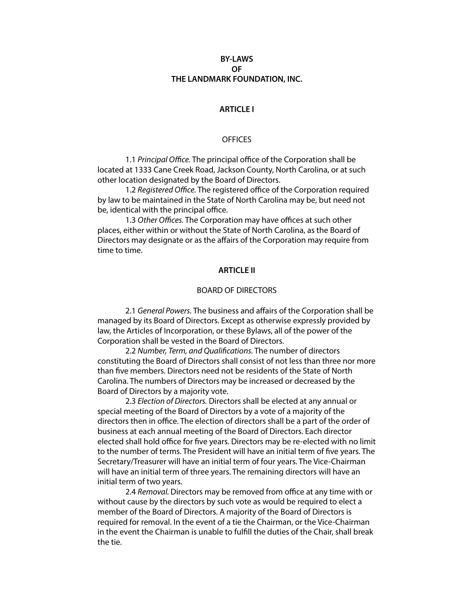# **BY-LAWS OF THE LANDMARK FOUNDATION, INC.**

## **ARTICLE I**

#### **OFFICES**

 1.1 *Principal O*ffi*ce.* The principal office of the Corporation shall be located at 1333 Cane Creek Road, Jackson County, North Carolina, or at such other location designated by the Board of Directors.

 1.2 *Registered O*ffi*ce.* The registered office of the Corporation required by law to be maintained in the State of North Carolina may be, but need not be, identical with the principal office.

 1.3 *Other O*ffi*ces.* The Corporation may have offices at such other places, either within or without the State of North Carolina, as the Board of Directors may designate or as the affairs of the Corporation may require from time to time.

#### **ARTICLE II**

#### BOARD OF DIRECTORS

 2.1 *General Powers.* The business and affairs of the Corporation shall be managed by its Board of Directors. Except as otherwise expressly provided by law, the Articles of Incorporation, or these Bylaws, all of the power of the Corporation shall be vested in the Board of Directors.

 2.2 *Number, Term, and Quali*f*cations.* The number of directors constituting the Board of Directors shall consist of not less than three nor more than fve members. Directors need not be residents of the State of North Carolina. The numbers of Directors may be increased or decreased by the Board of Directors by a majority vote.

 2.3 *Election of Directors.* Directors shall be elected at any annual or special meeting of the Board of Directors by a vote of a majority of the directors then in office. The election of directors shall be a part of the order of business at each annual meeting of the Board of Directors. Each director elected shall hold office for fve years. Directors may be re-elected with no limit to the number of terms. The President will have an initial term of fve years. The Secretary/Treasurer will have an initial term of four years. The Vice-Chairman will have an initial term of three years. The remaining directors will have an initial term of two years.

 2.4 *Removal.* Directors may be removed from office at any time with or without cause by the directors by such vote as would be required to elect a member of the Board of Directors. A majority of the Board of Directors is required for removal. In the event of a tie the Chairman, or the Vice-Chairman in the event the Chairman is unable to fulfll the duties of the Chair, shall break the tie.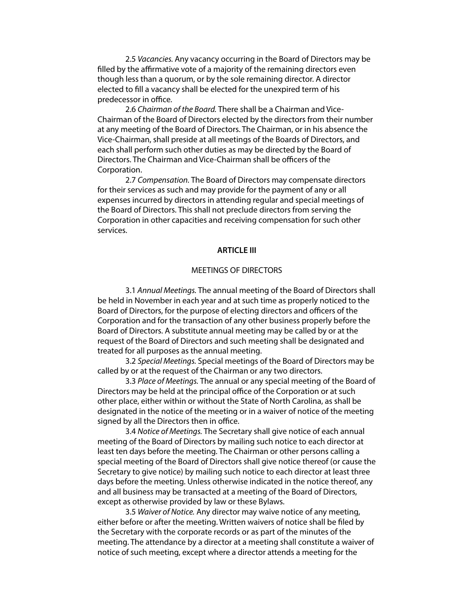2.5 *Vacancies.* Any vacancy occurring in the Board of Directors may be flled by the affirmative vote of a majority of the remaining directors even though less than a quorum, or by the sole remaining director. A director elected to fll a vacancy shall be elected for the unexpired term of his predecessor in office.

 2.6 *Chairman of the Board.* There shall be a Chairman and Vice-Chairman of the Board of Directors elected by the directors from their number at any meeting of the Board of Directors. The Chairman, or in his absence the Vice-Chairman, shall preside at all meetings of the Boards of Directors, and each shall perform such other duties as may be directed by the Board of Directors. The Chairman and Vice-Chairman shall be officers of the Corporation.

 2.7 *Compensation.* The Board of Directors may compensate directors for their services as such and may provide for the payment of any or all expenses incurred by directors in attending regular and special meetings of the Board of Directors. This shall not preclude directors from serving the Corporation in other capacities and receiving compensation for such other services.

#### **ARTICLE III**

## MEETINGS OF DIRECTORS

 3.1 *Annual Meetings.* The annual meeting of the Board of Directors shall be held in November in each year and at such time as properly noticed to the Board of Directors, for the purpose of electing directors and officers of the Corporation and for the transaction of any other business properly before the Board of Directors. A substitute annual meeting may be called by or at the request of the Board of Directors and such meeting shall be designated and treated for all purposes as the annual meeting.

 3.2 *Special Meetings.* Special meetings of the Board of Directors may be called by or at the request of the Chairman or any two directors.

 3.3 *Place of Meetings.* The annual or any special meeting of the Board of Directors may be held at the principal office of the Corporation or at such other place, either within or without the State of North Carolina, as shall be designated in the notice of the meeting or in a waiver of notice of the meeting signed by all the Directors then in office.

 3.4 *Notice of Meetings.* The Secretary shall give notice of each annual meeting of the Board of Directors by mailing such notice to each director at least ten days before the meeting. The Chairman or other persons calling a special meeting of the Board of Directors shall give notice thereof (or cause the Secretary to give notice) by mailing such notice to each director at least three days before the meeting. Unless otherwise indicated in the notice thereof, any and all business may be transacted at a meeting of the Board of Directors, except as otherwise provided by law or these Bylaws.

 3.5 *Waiver of Notice.* Any director may waive notice of any meeting, either before or after the meeting. Written waivers of notice shall be fled by the Secretary with the corporate records or as part of the minutes of the meeting. The attendance by a director at a meeting shall constitute a waiver of notice of such meeting, except where a director attends a meeting for the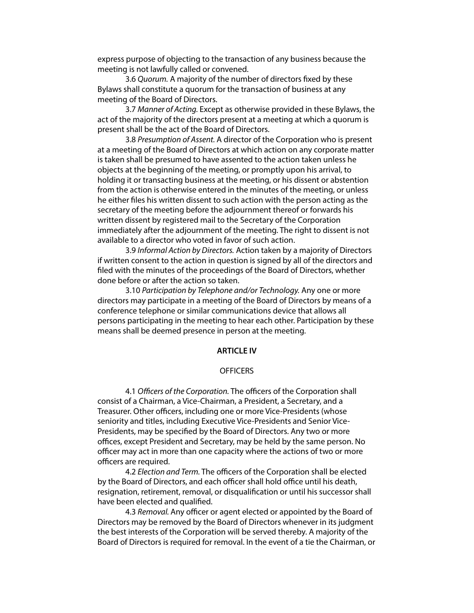express purpose of objecting to the transaction of any business because the meeting is not lawfully called or convened.

 3.6 *Quorum.* A majority of the number of directors fxed by these Bylaws shall constitute a quorum for the transaction of business at any meeting of the Board of Directors.

 3.7 *Manner of Acting.* Except as otherwise provided in these Bylaws, the act of the majority of the directors present at a meeting at which a quorum is present shall be the act of the Board of Directors.

 3.8 *Presumption of Assent.* A director of the Corporation who is present at a meeting of the Board of Directors at which action on any corporate matter is taken shall be presumed to have assented to the action taken unless he objects at the beginning of the meeting, or promptly upon his arrival, to holding it or transacting business at the meeting, or his dissent or abstention from the action is otherwise entered in the minutes of the meeting, or unless he either fles his written dissent to such action with the person acting as the secretary of the meeting before the adjournment thereof or forwards his written dissent by registered mail to the Secretary of the Corporation immediately after the adjournment of the meeting. The right to dissent is not available to a director who voted in favor of such action.

 3.9 *Informal Action by Directors.* Action taken by a majority of Directors if written consent to the action in question is signed by all of the directors and fled with the minutes of the proceedings of the Board of Directors, whether done before or after the action so taken.

 3.10 *Participation by Telephone and/or Technology.* Any one or more directors may participate in a meeting of the Board of Directors by means of a conference telephone or similar communications device that allows all persons participating in the meeting to hear each other. Participation by these means shall be deemed presence in person at the meeting.

## **ARTICLE IV**

## **OFFICERS**

 4.1 *O*ffi*cers of the Corporation.* The officers of the Corporation shall consist of a Chairman, a Vice-Chairman, a President, a Secretary, and a Treasurer. Other officers, including one or more Vice-Presidents (whose seniority and titles, including Executive Vice-Presidents and Senior Vice-Presidents, may be specifed by the Board of Directors. Any two or more offices, except President and Secretary, may be held by the same person. No officer may act in more than one capacity where the actions of two or more officers are required.

 4.2 *Election and Term.* The officers of the Corporation shall be elected by the Board of Directors, and each officer shall hold office until his death, resignation, retirement, removal, or disqualifcation or until his successor shall have been elected and qualifed.

 4.3 *Removal.* Any officer or agent elected or appointed by the Board of Directors may be removed by the Board of Directors whenever in its judgment the best interests of the Corporation will be served thereby. A majority of the Board of Directors is required for removal. In the event of a tie the Chairman, or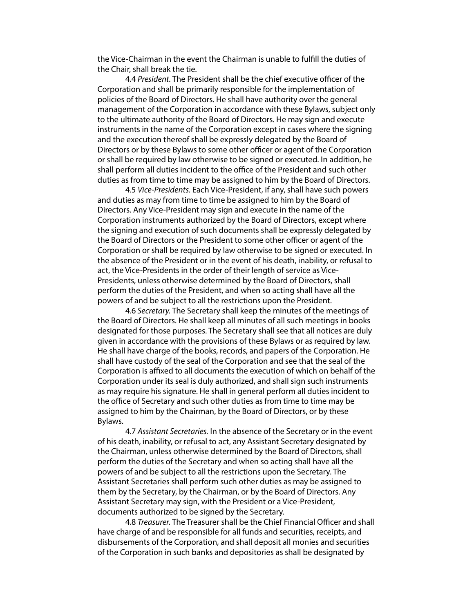the Vice-Chairman in the event the Chairman is unable to fulfll the duties of the Chair, shall break the tie.

 4.4 *President.* The President shall be the chief executive officer of the Corporation and shall be primarily responsible for the implementation of policies of the Board of Directors. He shall have authority over the general management of the Corporation in accordance with these Bylaws, subject only to the ultimate authority of the Board of Directors. He may sign and execute instruments in the name of the Corporation except in cases where the signing and the execution thereof shall be expressly delegated by the Board of Directors or by these Bylaws to some other officer or agent of the Corporation or shall be required by law otherwise to be signed or executed. In addition, he shall perform all duties incident to the office of the President and such other duties as from time to time may be assigned to him by the Board of Directors.

 4.5 *Vice-Presidents.* Each Vice-President, if any, shall have such powers and duties as may from time to time be assigned to him by the Board of Directors. Any Vice-President may sign and execute in the name of the Corporation instruments authorized by the Board of Directors, except where the signing and execution of such documents shall be expressly delegated by the Board of Directors or the President to some other officer or agent of the Corporation or shall be required by law otherwise to be signed or executed. In the absence of the President or in the event of his death, inability, or refusal to act, the Vice-Presidents in the order of their length of service as Vice-Presidents, unless otherwise determined by the Board of Directors, shall perform the duties of the President, and when so acting shall have all the powers of and be subject to all the restrictions upon the President.

 4.6 *Secretary.* The Secretary shall keep the minutes of the meetings of the Board of Directors. He shall keep all minutes of all such meetings in books designated for those purposes. The Secretary shall see that all notices are duly given in accordance with the provisions of these Bylaws or as required by law. He shall have charge of the books, records, and papers of the Corporation. He shall have custody of the seal of the Corporation and see that the seal of the Corporation is affixed to all documents the execution of which on behalf of the Corporation under its seal is duly authorized, and shall sign such instruments as may require his signature. He shall in general perform all duties incident to the office of Secretary and such other duties as from time to time may be assigned to him by the Chairman, by the Board of Directors, or by these Bylaws.

 4.7 *Assistant Secretaries.* In the absence of the Secretary or in the event of his death, inability, or refusal to act, any Assistant Secretary designated by the Chairman, unless otherwise determined by the Board of Directors, shall perform the duties of the Secretary and when so acting shall have all the powers of and be subject to all the restrictions upon the Secretary. The Assistant Secretaries shall perform such other duties as may be assigned to them by the Secretary, by the Chairman, or by the Board of Directors. Any Assistant Secretary may sign, with the President or a Vice-President, documents authorized to be signed by the Secretary.

 4.8 *Treasurer.* The Treasurer shall be the Chief Financial Officer and shall have charge of and be responsible for all funds and securities, receipts, and disbursements of the Corporation, and shall deposit all monies and securities of the Corporation in such banks and depositories as shall be designated by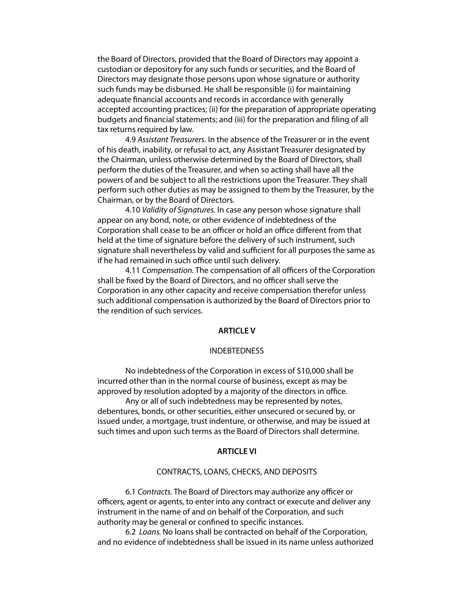the Board of Directors, provided that the Board of Directors may appoint a custodian or depository for any such funds or securities, and the Board of Directors may designate those persons upon whose signature or authority such funds may be disbursed. He shall be responsible (i) for maintaining adequate fnancial accounts and records in accordance with generally accepted accounting practices; (ii) for the preparation of appropriate operating budgets and fnancial statements; and (iii) for the preparation and fling of all tax returns required by law.

 4.9 *Assistant Treasurers.* In the absence of the Treasurer or in the event of his death, inability, or refusal to act, any Assistant Treasurer designated by the Chairman, unless otherwise determined by the Board of Directors, shall perform the duties of the Treasurer, and when so acting shall have all the powers of and be subject to all the restrictions upon the Treasurer. They shall perform such other duties as may be assigned to them by the Treasurer, by the Chairman, or by the Board of Directors.

 4.10 *Validity of Signatures.* In case any person whose signature shall appear on any bond, note, or other evidence of indebtedness of the Corporation shall cease to be an officer or hold an office different from that held at the time of signature before the delivery of such instrument, such signature shall nevertheless by valid and sufficient for all purposes the same as if he had remained in such office until such delivery.

 4.11 *Compensation.* The compensation of all officers of the Corporation shall be fxed by the Board of Directors, and no officer shall serve the Corporation in any other capacity and receive compensation therefor unless such additional compensation is authorized by the Board of Directors prior to the rendition of such services.

#### **ARTICLE V**

## INDEBTEDNESS

 No indebtedness of the Corporation in excess of \$10,000 shall be incurred other than in the normal course of business, except as may be approved by resolution adopted by a majority of the directors in office.

 Any or all of such indebtedness may be represented by notes, debentures, bonds, or other securities, either unsecured or secured by, or issued under, a mortgage, trust indenture, or otherwise, and may be issued at such times and upon such terms as the Board of Directors shall determine.

#### **ARTICLE VI**

## CONTRACTS, LOANS, CHECKS, AND DEPOSITS

 6.1 *Contracts.* The Board of Directors may authorize any officer or officers, agent or agents, to enter into any contract or execute and deliver any instrument in the name of and on behalf of the Corporation, and such authority may be general or confned to specifc instances.

 6.2 *Loans.* No loans shall be contracted on behalf of the Corporation, and no evidence of indebtedness shall be issued in its name unless authorized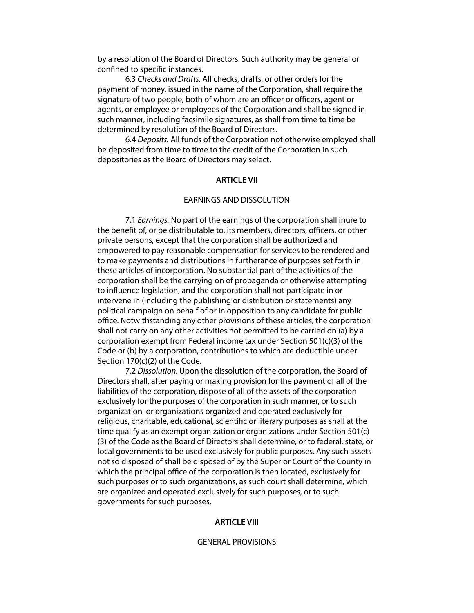by a resolution of the Board of Directors. Such authority may be general or confned to specifc instances.

 6.3 *Checks and Drafts.* All checks, drafts, or other orders for the payment of money, issued in the name of the Corporation, shall require the signature of two people, both of whom are an officer or officers, agent or agents, or employee or employees of the Corporation and shall be signed in such manner, including facsimile signatures, as shall from time to time be determined by resolution of the Board of Directors.

 6.4 *Deposits.* All funds of the Corporation not otherwise employed shall be deposited from time to time to the credit of the Corporation in such depositories as the Board of Directors may select.

#### **ARTICLE VII**

# EARNINGS AND DISSOLUTION

 7.1 *Earnings.* No part of the earnings of the corporation shall inure to the beneft of, or be distributable to, its members, directors, officers, or other private persons, except that the corporation shall be authorized and empowered to pay reasonable compensation for services to be rendered and to make payments and distributions in furtherance of purposes set forth in these articles of incorporation. No substantial part of the activities of the corporation shall be the carrying on of propaganda or otherwise attempting to infuence legislation, and the corporation shall not participate in or intervene in (including the publishing or distribution or statements) any political campaign on behalf of or in opposition to any candidate for public office. Notwithstanding any other provisions of these articles, the corporation shall not carry on any other activities not permitted to be carried on (a) by a corporation exempt from Federal income tax under Section 501(c)(3) of the Code or (b) by a corporation, contributions to which are deductible under Section 170(c)(2) of the Code.

 7.2 *Dissolution.* Upon the dissolution of the corporation, the Board of Directors shall, after paying or making provision for the payment of all of the liabilities of the corporation, dispose of all of the assets of the corporation exclusively for the purposes of the corporation in such manner, or to such organization or organizations organized and operated exclusively for religious, charitable, educational, scientifc or literary purposes as shall at the time qualify as an exempt organization or organizations under Section 501(c) (3) of the Code as the Board of Directors shall determine, or to federal, state, or local governments to be used exclusively for public purposes. Any such assets not so disposed of shall be disposed of by the Superior Court of the County in which the principal office of the corporation is then located, exclusively for such purposes or to such organizations, as such court shall determine, which are organized and operated exclusively for such purposes, or to such governments for such purposes.

## **ARTICLE VIII**

## GENERAL PROVISIONS